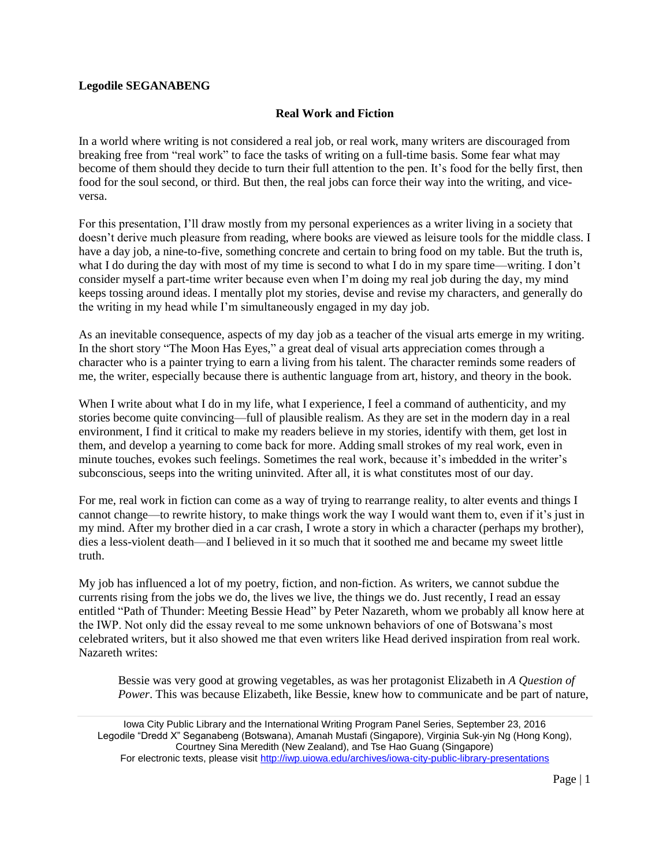## **Legodile SEGANABENG**

## **Real Work and Fiction**

In a world where writing is not considered a real job, or real work, many writers are discouraged from breaking free from "real work" to face the tasks of writing on a full-time basis. Some fear what may become of them should they decide to turn their full attention to the pen. It's food for the belly first, then food for the soul second, or third. But then, the real jobs can force their way into the writing, and viceversa.

For this presentation, I'll draw mostly from my personal experiences as a writer living in a society that doesn't derive much pleasure from reading, where books are viewed as leisure tools for the middle class. I have a day job, a nine-to-five, something concrete and certain to bring food on my table. But the truth is, what I do during the day with most of my time is second to what I do in my spare time—writing. I don't consider myself a part-time writer because even when I'm doing my real job during the day, my mind keeps tossing around ideas. I mentally plot my stories, devise and revise my characters, and generally do the writing in my head while I'm simultaneously engaged in my day job.

As an inevitable consequence, aspects of my day job as a teacher of the visual arts emerge in my writing. In the short story "The Moon Has Eyes," a great deal of visual arts appreciation comes through a character who is a painter trying to earn a living from his talent. The character reminds some readers of me, the writer, especially because there is authentic language from art, history, and theory in the book.

When I write about what I do in my life, what I experience, I feel a command of authenticity, and my stories become quite convincing—full of plausible realism. As they are set in the modern day in a real environment, I find it critical to make my readers believe in my stories, identify with them, get lost in them, and develop a yearning to come back for more. Adding small strokes of my real work, even in minute touches, evokes such feelings. Sometimes the real work, because it's imbedded in the writer's subconscious, seeps into the writing uninvited. After all, it is what constitutes most of our day.

For me, real work in fiction can come as a way of trying to rearrange reality, to alter events and things I cannot change—to rewrite history, to make things work the way I would want them to, even if it's just in my mind. After my brother died in a car crash, I wrote a story in which a character (perhaps my brother), dies a less-violent death—and I believed in it so much that it soothed me and became my sweet little truth.

My job has influenced a lot of my poetry, fiction, and non-fiction. As writers, we cannot subdue the currents rising from the jobs we do, the lives we live, the things we do. Just recently, I read an essay entitled "Path of Thunder: Meeting Bessie Head" by Peter Nazareth, whom we probably all know here at the IWP. Not only did the essay reveal to me some unknown behaviors of one of Botswana's most celebrated writers, but it also showed me that even writers like Head derived inspiration from real work. Nazareth writes:

Bessie was very good at growing vegetables, as was her protagonist Elizabeth in *A Question of Power*. This was because Elizabeth, like Bessie, knew how to communicate and be part of nature,

Iowa City Public Library and the International Writing Program Panel Series, September 23, 2016 Legodile "Dredd X" Seganabeng (Botswana), Amanah Mustafi (Singapore), Virginia Suk-yin Ng (Hong Kong), Courtney Sina Meredith (New Zealand), and Tse Hao Guang (Singapore) For electronic texts, please visit<http://iwp.uiowa.edu/archives/iowa-city-public-library-presentations>